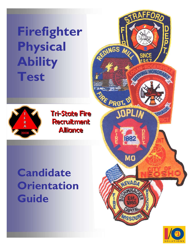**Firefighter Physical Ability Test** 



**Tri-State Fire Recruitment Alliance** 

# **Candidate Orientation Guide**



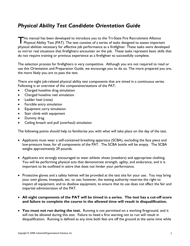# *Physical Ability Test Candidate Orientation Guide*

This manual has been developed to introduce you to the Tri-State Fire Recruitment Alliance<br>Physical Ability Test (PAT). The test consists of a series of tasks designed to assess importa Physical Ability Test (PAT). The test consists of a series of tasks designed to assess important physical abilities necessary for effective job performance as a firefighter. These tasks were developed to mirror real situations that firefighters encounter on the job. These tasks represent basic skills that do not require training or previous experience as a firefighter to successfully complete.

The selection process for firefighters is very competitive. Although you are not required to read or use this Orientation and Preparation Guide, we encourage you to do so. The more prepared you are, the more likely you are to pass the test.

There are eight job-related physical ability test components that are timed in a continuous series. Following is an overview of the components/stations of the PAT:

- Charged hoseline drag simulation
- Charged hoseline reel simulation
- Ladder heel (raise)
- Forcible entry simulation
- Equipment carry simulation
- Stair climb with equipment
- Dummy drag
- Ceiling breach and pull (overhaul) simulation

The following points should help to familiarize you with what will take place on the day of the test.

- Applicants must wear a self-contained breathing apparatus (SCBA), excluding the face piece and low-pressure hose, for all components of the PAT. The SCBA bottle will be empty. The SCBA weighs approximately 29 pounds.
- Applicants are strongly encouraged to wear athletic shoes (sneakers) and appropriate clothing. You will be performing physical acts that demonstrate strength, agility, and endurance, and it is important to be outfitted in attire that does not hinder your performance.
- Protective gloves and a safety helmet will be provided at the test site for your use. You may bring your own gloves, kneepads, etc. to use; however, the testing authority reserves the right to inspect all equipment, and to disallow equipment, to ensure that its use does not affect the fair and impartial administration of the PAT.
- **All eight components of the PAT will be timed in a series. The test has a cut-off score and failure to complete the course in the allowed time will result in disqualification.**
- **You must not run during the test.** Running is not permitted on a working fireground, and it will not be allowed during this test. Failure to heed a first warning not to run will result in disqualification. Running is defined as any time both feet are off the ground at the same time while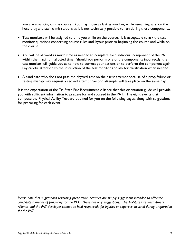you are advancing on the course. You may move as fast as you like, while remaining safe, on the hose drag and stair climb stations as it is not technically possible to run during these components.

- Test monitors will be assigned to time you while on the course. It is acceptable to ask the test monitor questions concerning course rules and layout prior to beginning the course and while on the course.
- You will be allowed as much time as needed to complete each individual component of the PAT within the maximum allotted time. Should you perform one of the components incorrectly, the test monitor will guide you as to how to correct your actions or to perform the component again. Pay careful attention to the instruction of the test monitor and ask for clarification when needed.
- A candidate who does not pass the physical test on their first attempt because of a prop failure or testing mishap may request a second attempt. Second attempts will take place on the same day.

It is the expectation of the Tri-State Fire Recruitment Alliance that this orientation guide will provide you with sufficient information to prepare for and succeed in the PAT. The eight events that compose the Physical Ability Test are outlined for you on the following pages, along with suggestions for preparing for each event.

*Please note that suggestions regarding preparation activities are simply suggestions intended to offer the candidate a means of practicing for the PAT. These are only suggestions. The Tri-State Fire Recruitment Alliance and the PAT developer cannot be held responsible for injuries or expenses incurred during preparation for the PAT.*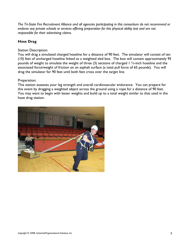*The Tri-State Fire Recruitment Alliance and all agencies participating in this consortium do not recommend or endorse any private schools or services offering preparation for this physical ability test and are not responsible for their advertising claims.* 

# **Hose Drag**

# Station Description:

You will drag a simulated charged hoseline for a distance of 90 feet. The simulator will consist of ten (10) feet of uncharged hoseline linked to a weighted sled box. The box will contain approximately 95 pounds of weight to simulate the weight of three (3) sections of charged 1 ¾-inch hoseline and the associated force/weight of friction on an asphalt surface (a total pull force of 65 pounds). You will drag the simulator for 90 feet until both feet cross over the target line.

# Preparation:

This station assesses your leg strength and overall cardiovascular endurance. You can prepare for this event by dragging a weighted object across the ground using a rope for a distance of 90 feet. You may want to begin with lesser weights and build up to a total weight similar to that used in the hose drag station.

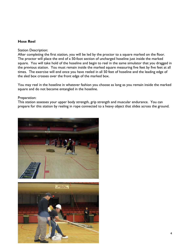# **Hose Reel**

#### Station Description:

After completing the first station, you will be led by the proctor to a square marked on the floor. The proctor will place the end of a 50-foot section of uncharged hoseline just inside the marked square. You will take hold of the hoseline and begin to reel in the same simulator that you dragged in the previous station. You must remain inside the marked square measuring five feet by five feet at all times. The exercise will end once you have reeled in all 50 feet of hoseline and the leading edge of the sled box crosses over the front edge of the marked box.

You may reel in the hoseline in whatever fashion you choose as long as you remain inside the marked square and do not become entangled in the hoseline.

#### Preparation:

This station assesses your upper body strength, grip strength and muscular endurance. You can prepare for this station by reeling in rope connected to a heavy object that slides across the ground.



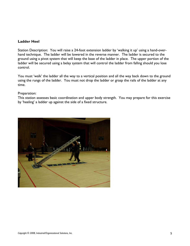## **Ladder Heel**

Station Description: You will raise a 24-foot extension ladder by 'walking it up' using a hand-overhand technique. The ladder will be lowered in the reverse manner. The ladder is secured to the ground using a pivot system that will keep the base of the ladder in place. The upper portion of the ladder will be secured using a belay system that will control the ladder from falling should you lose control.

You must 'walk' the ladder all the way to a vertical position and all the way back down to the ground using the rungs of the ladder. You must not drop the ladder or grasp the rails of the ladder at any time.

#### Preparation:

This station assesses basic coordination and upper body strength. You may prepare for this exercise by 'heeling' a ladder up against the side of a fixed structure.

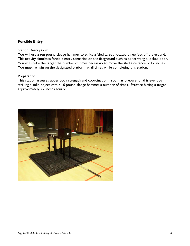# **Forcible Entry**

#### Station Description:

You will use a ten-pound sledge hammer to strike a 'sled target' located three feet off the ground. This activity simulates forcible entry scenarios on the fireground such as penetrating a locked door. You will strike the target the number of times necessary to move the sled a distance of 12 inches. You must remain on the designated platform at all times while completing this station.

#### Preparation:

This station assesses upper body strength and coordination. You may prepare for this event by striking a solid object with a 10 pound sledge hammer a number of times. Practice hitting a target approximately six inches square.

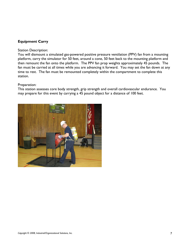# **Equipment Carry**

#### Station Description:

You will dismount a simulated gas-powered positive pressure ventilation (PPV) fan from a mounting platform, carry the simulator for 50 feet, around a cone, 50 feet back to the mounting platform and then remount the fan onto the platform. The PPV fan prop weights approximately 45 pounds. The fan must be carried at all times while you are advancing it forward. You may set the fan down at any time to rest. The fan must be remounted completely within the compartment to complete this station.

## Preparation:

This station assesses core body strength, grip strength and overall cardiovascular endurance. You may prepare for this event by carrying a 45 pound object for a distance of 100 feet.

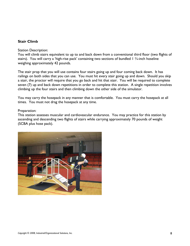# **Stair Climb**

#### Station Description:

You will climb stairs equivalent to up to and back down from a conventional third floor (two flights of stairs). You will carry a 'high-rise pack' containing two sections of bundled 1  $\frac{3}{4}$ -inch hoseline weighing approximately 42 pounds.

The stair prop that you will use contains four stairs going up and four coming back down. It has railings on both sides that you can use. You must hit every stair going up and down. Should you skip a stair, the proctor will require that you go back and hit that stair. You will be required to complete seven (7) up and back down repetitions in order to complete this station. A single repetition involves climbing up the four stairs and then climbing down the other side of the simulator.

You may carry the hosepack in any manner that is comfortable. You must carry the hosepack at all times. You must not drag the hosepack at any time.

#### Preparation:

This station assesses muscular and cardiovascular endurance. You may practice for this station by ascending and descending two flights of stairs while carrying approximately 70 pounds of weight (SCBA plus hose pack).

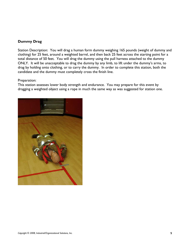# **Dummy Drag**

Station Description: You will drag a human form dummy weighing 165 pounds (weight of dummy and clothing) for 25 feet, around a weighted barrel, and then back 25 feet across the starting point for a total distance of 50 feet. You will drag the dummy using the pull harness attached to the dummy ONLY. It will be unacceptable to drag the dummy by any limb, to lift under the dummy's arms, to drag by holding onto clothing, or to carry the dummy. In order to complete this station, both the candidate and the dummy must completely cross the finish line.

## Preparation:

This station assesses lower body strength and endurance. You may prepare for this event by dragging a weighted object using a rope in much the same way as was suggested for station one.

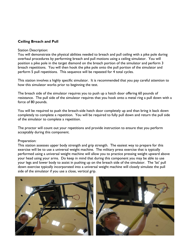# **Ceiling Breach and Pull**

#### Station Description:

You will demonstrate the physical abilities needed to breach and pull ceiling with a pike pole during overhaul procedures by performing breach and pull motions using a ceiling simulator. You will position a pike pole in the target diamond on the breach portion of the simulator and perform 3 breach repetitions. You will then hook the pike pole onto the pull portion of the simulator and perform 5 pull repetitions. This sequence will be repeated for 4 total cycles.

This station involves a highly specific simulator. It is recommended that you pay careful attention to how this simulator works prior to beginning the test.

The breach side of the simulator requires you to push up a hatch door offering 60 pounds of resistance. The pull side of the simulator requires that you hook onto a metal ring a pull down with a force of 80 pounds.

You will be required to push the breach-side hatch door completely up and than bring it back down completely to complete a repetition. You will be required to fully pull down and return the pull side of the simulator to complete a repetition.

The proctor will count out your repetitions and provide instruction to ensure that you perform acceptably during this component.

## Preparation:

This station assesses upper body strength and grip strength. The easiest way to prepare for this exercise will be to use a universal weight machine. The military press exercise that is typically performed using a universal weight machine will allow you to practice pressing weight upward above your head using your arms. Do keep in mind that during this component you may be able to use your legs and lower body to assist in pushing up on the breach side of the simulator. The 'lat' pull down exercise typically incorporated into a universal weight machine will closely simulate the pull side of the simulator if you use a close, vertical grip.

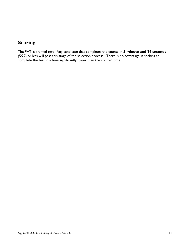# **Scoring**

The PAT is a timed test. Any candidate that completes the course in **5 minute and 29 seconds** (5:29) or less will pass this stage of the selection process. There is no advantage in seeking to complete the test in a time significantly lower than the allotted time.